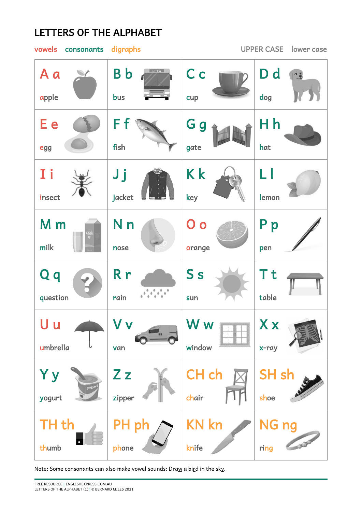## LETTERS OF THE ALPHABET

## vowels consonants digraphs UPPER CASE lower case C c B b D d A a  $\frac{1}{2}$ dog apple bus cup H h G g E e F f fish gate hat egg I i K k J j L l insect jacket key lemon P p N n O o M m milk nose orange pen S s Q q R r T t question rain table sun X x U u W w V v umbrella window van x-ray Z z CH ch SH sh Y y yogurt zipper chair shoe KN kn TH th PH ph NG ng thumb knife ring phone

Note: Some consonants can also make vowel sounds: Draw a bird in the sky.